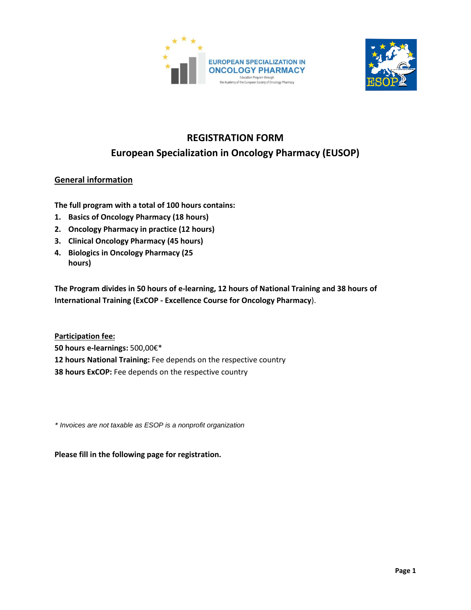



# **REGISTRATION FORM European Specialization in Oncology Pharmacy (EUSOP)**

## **General information**

**The full program with a total of 100 hours contains:**

- **1. Basics of Oncology Pharmacy (18 hours)**
- **2. Oncology Pharmacy in practice (12 hours)**
- **3. Clinical Oncology Pharmacy (45 hours)**
- **4. Biologics in Oncology Pharmacy (25 hours)**

**The Program divides in 50 hours of e-learning, 12 hours of National Training and 38 hours of International Training (ExCOP - Excellence Course for Oncology Pharmacy**).

**Participation fee: 50 hours e-learnings:** 500,00€\* **12 hours National Training:** Fee depends on the respective country **38 hours ExCOP:** Fee depends on the respective country

*\* Invoices are not taxable as ESOP is a nonprofit organization*

**Please fill in the following page for registration.**